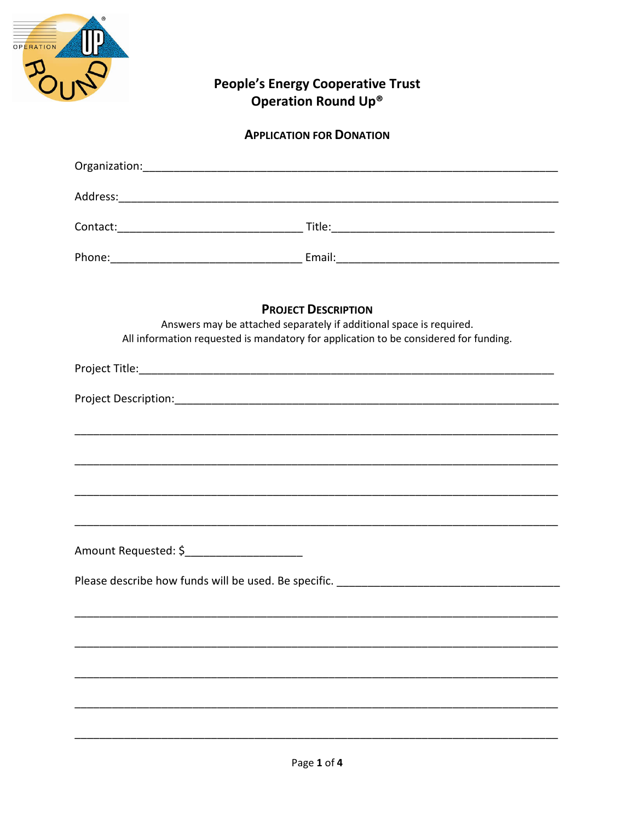

## People's Energy Cooperative Trust<br>Operation Round Up®

## **APPLICATION FOR DONATION**

|                                             | <b>PROJECT DESCRIPTION</b><br>Answers may be attached separately if additional space is required.<br>All information requested is mandatory for application to be considered for funding. |
|---------------------------------------------|-------------------------------------------------------------------------------------------------------------------------------------------------------------------------------------------|
|                                             |                                                                                                                                                                                           |
|                                             |                                                                                                                                                                                           |
|                                             |                                                                                                                                                                                           |
|                                             |                                                                                                                                                                                           |
|                                             |                                                                                                                                                                                           |
|                                             | ,我们就会在这里的,我们就会在这里的,我们就会在这里,我们就会在这里的时候,我们就会在这里,我们就会在这里的时候,我们就会在这里,我们就会在这里的时候,我们就会                                                                                                          |
| Amount Requested: \$_______________________ |                                                                                                                                                                                           |
|                                             |                                                                                                                                                                                           |
|                                             |                                                                                                                                                                                           |
|                                             |                                                                                                                                                                                           |
|                                             |                                                                                                                                                                                           |
|                                             |                                                                                                                                                                                           |
|                                             |                                                                                                                                                                                           |
|                                             |                                                                                                                                                                                           |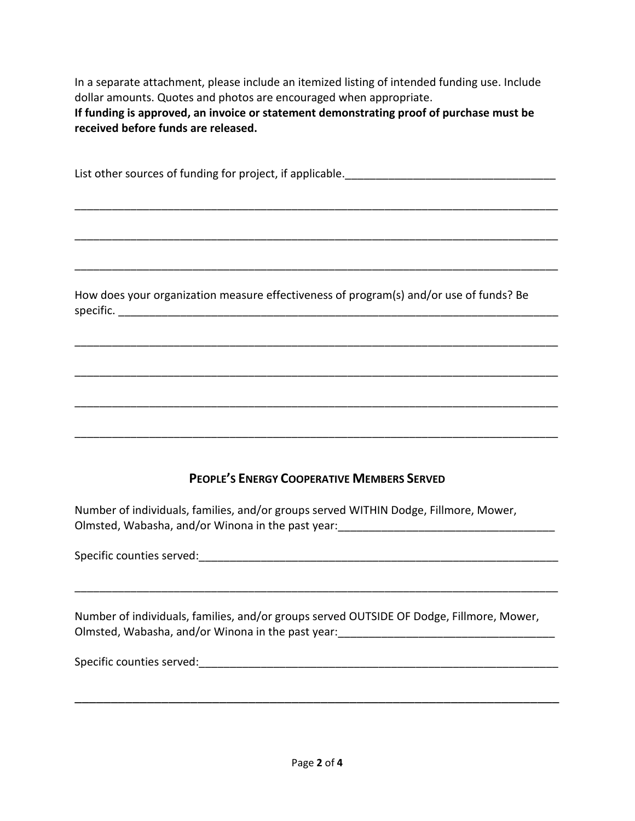In a separate attachment, please include an itemized listing of intended funding use. Include dollar amounts. Quotes and photos are encouraged when appropriate. **If funding is approved, an invoice or statement demonstrating proof of purchase must be received before funds are released.**

List other sources of funding for project, if applicable.\_\_\_\_\_\_\_\_\_\_\_\_\_\_\_\_\_\_\_\_\_\_\_\_\_\_\_\_\_\_\_\_\_\_

\_\_\_\_\_\_\_\_\_\_\_\_\_\_\_\_\_\_\_\_\_\_\_\_\_\_\_\_\_\_\_\_\_\_\_\_\_\_\_\_\_\_\_\_\_\_\_\_\_\_\_\_\_\_\_\_\_\_\_\_\_\_\_\_\_\_\_\_\_\_\_\_\_\_\_\_\_\_

\_\_\_\_\_\_\_\_\_\_\_\_\_\_\_\_\_\_\_\_\_\_\_\_\_\_\_\_\_\_\_\_\_\_\_\_\_\_\_\_\_\_\_\_\_\_\_\_\_\_\_\_\_\_\_\_\_\_\_\_\_\_\_\_\_\_\_\_\_\_\_\_\_\_\_\_\_\_

\_\_\_\_\_\_\_\_\_\_\_\_\_\_\_\_\_\_\_\_\_\_\_\_\_\_\_\_\_\_\_\_\_\_\_\_\_\_\_\_\_\_\_\_\_\_\_\_\_\_\_\_\_\_\_\_\_\_\_\_\_\_\_\_\_\_\_\_\_\_\_\_\_\_\_\_\_\_

\_\_\_\_\_\_\_\_\_\_\_\_\_\_\_\_\_\_\_\_\_\_\_\_\_\_\_\_\_\_\_\_\_\_\_\_\_\_\_\_\_\_\_\_\_\_\_\_\_\_\_\_\_\_\_\_\_\_\_\_\_\_\_\_\_\_\_\_\_\_\_\_\_\_\_\_\_\_

\_\_\_\_\_\_\_\_\_\_\_\_\_\_\_\_\_\_\_\_\_\_\_\_\_\_\_\_\_\_\_\_\_\_\_\_\_\_\_\_\_\_\_\_\_\_\_\_\_\_\_\_\_\_\_\_\_\_\_\_\_\_\_\_\_\_\_\_\_\_\_\_\_\_\_\_\_\_

\_\_\_\_\_\_\_\_\_\_\_\_\_\_\_\_\_\_\_\_\_\_\_\_\_\_\_\_\_\_\_\_\_\_\_\_\_\_\_\_\_\_\_\_\_\_\_\_\_\_\_\_\_\_\_\_\_\_\_\_\_\_\_\_\_\_\_\_\_\_\_\_\_\_\_\_\_\_

\_\_\_\_\_\_\_\_\_\_\_\_\_\_\_\_\_\_\_\_\_\_\_\_\_\_\_\_\_\_\_\_\_\_\_\_\_\_\_\_\_\_\_\_\_\_\_\_\_\_\_\_\_\_\_\_\_\_\_\_\_\_\_\_\_\_\_\_\_\_\_\_\_\_\_\_\_\_

How does your organization measure effectiveness of program(s) and/or use of funds? Be  $specific.$ 

## **PEOPLE'S ENERGY COOPERATIVE MEMBERS SERVED**

Number of individuals, families, and/or groups served WITHIN Dodge, Fillmore, Mower, Olmsted, Wabasha, and/or Winona in the past year:

Specific counties served:  $\Box$ 

Number of individuals, families, and/or groups served OUTSIDE OF Dodge, Fillmore, Mower, Olmsted, Wabasha, and/or Winona in the past year: \_\_\_\_\_\_\_\_\_\_\_\_\_\_\_\_\_\_\_\_\_\_\_\_\_\_\_\_\_\_\_

\_\_\_\_\_\_\_\_\_\_\_\_\_\_\_\_\_\_\_\_\_\_\_\_\_\_\_\_\_\_\_\_\_\_\_\_\_\_\_\_\_\_\_\_\_\_\_\_\_\_\_\_\_\_\_\_\_\_\_\_\_\_\_\_\_\_\_\_\_\_\_\_\_\_\_\_\_\_

Specific counties served:  $\Box$ 

\_\_\_\_\_\_\_\_\_\_\_\_\_\_\_\_\_\_\_\_\_\_\_\_\_\_\_\_\_\_\_\_\_\_\_\_\_\_\_\_\_\_\_\_\_\_\_\_\_\_\_\_\_\_\_\_\_\_\_\_\_\_\_\_\_\_\_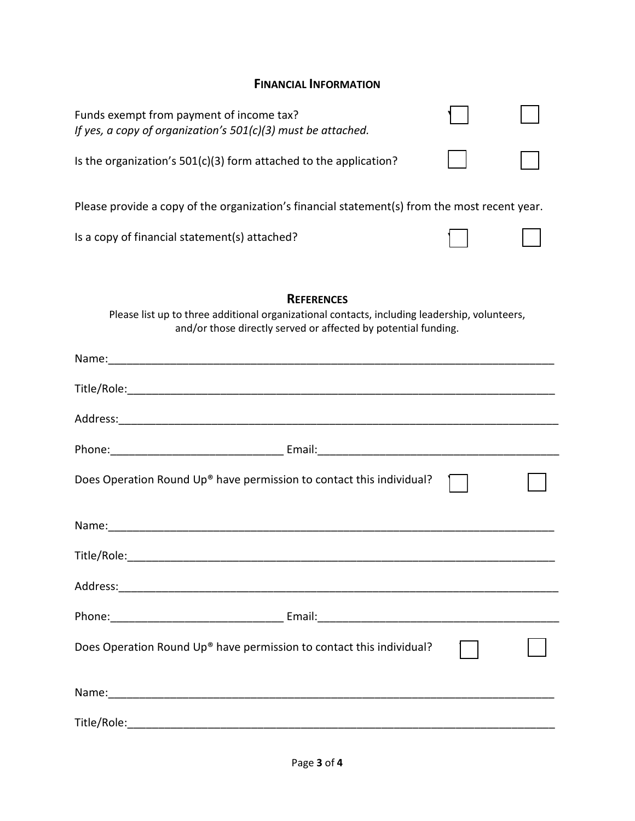## **FINANCIAL INFORMATION**

| Funds exempt from payment of income tax?<br>If yes, a copy of organization's 501(c)(3) must be attached.                                                                                                                       |  |  |  |  |
|--------------------------------------------------------------------------------------------------------------------------------------------------------------------------------------------------------------------------------|--|--|--|--|
| Is the organization's 501(c)(3) form attached to the application?                                                                                                                                                              |  |  |  |  |
| Please provide a copy of the organization's financial statement(s) from the most recent year.                                                                                                                                  |  |  |  |  |
| Is a copy of financial statement(s) attached?                                                                                                                                                                                  |  |  |  |  |
| <b>REFERENCES</b><br>Please list up to three additional organizational contacts, including leadership, volunteers,<br>and/or those directly served or affected by potential funding.                                           |  |  |  |  |
| Name: 1990 - 1990 - 1990 - 1990 - 1990 - 1990 - 1990 - 1990 - 1990 - 1990 - 1990 - 1990 - 1990 - 1990 - 1990 - 1990 - 1990 - 1990 - 1990 - 1990 - 1990 - 1990 - 1990 - 1990 - 1990 - 1990 - 1990 - 1990 - 1990 - 1990 - 1990 - |  |  |  |  |
|                                                                                                                                                                                                                                |  |  |  |  |
|                                                                                                                                                                                                                                |  |  |  |  |
|                                                                                                                                                                                                                                |  |  |  |  |
| Does Operation Round Up® have permission to contact this individual?                                                                                                                                                           |  |  |  |  |
|                                                                                                                                                                                                                                |  |  |  |  |
|                                                                                                                                                                                                                                |  |  |  |  |
|                                                                                                                                                                                                                                |  |  |  |  |
|                                                                                                                                                                                                                                |  |  |  |  |
| Does Operation Round Up® have permission to contact this individual?                                                                                                                                                           |  |  |  |  |
|                                                                                                                                                                                                                                |  |  |  |  |
|                                                                                                                                                                                                                                |  |  |  |  |